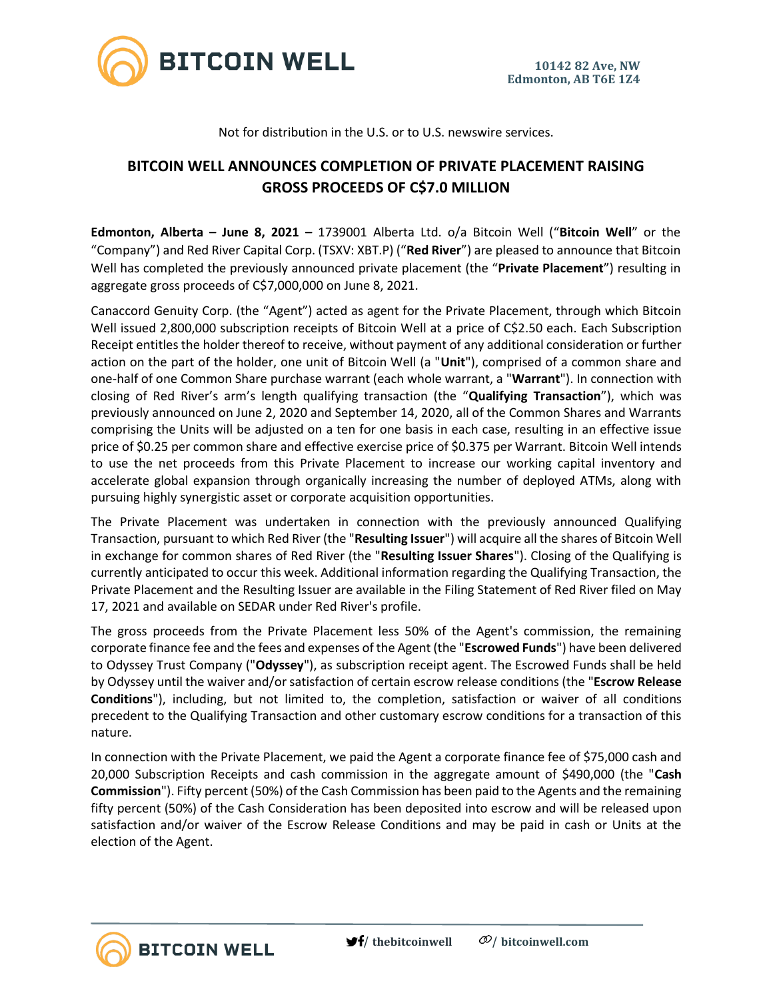

Not for distribution in the U.S. or to U.S. newswire services.

# **BITCOIN WELL ANNOUNCES COMPLETION OF PRIVATE PLACEMENT RAISING GROSS PROCEEDS OF C\$7.0 MILLION**

**Edmonton, Alberta – June 8, 2021 –** 1739001 Alberta Ltd. o/a Bitcoin Well ("**Bitcoin Well**" or the "Company") and Red River Capital Corp. (TSXV: XBT.P) ("**Red River**") are pleased to announce that Bitcoin Well has completed the previously announced private placement (the "**Private Placement**") resulting in aggregate gross proceeds of C\$7,000,000 on June 8, 2021.

Canaccord Genuity Corp. (the "Agent") acted as agent for the Private Placement, through which Bitcoin Well issued 2,800,000 subscription receipts of Bitcoin Well at a price of C\$2.50 each. Each Subscription Receipt entitles the holder thereof to receive, without payment of any additional consideration or further action on the part of the holder, one unit of Bitcoin Well (a "**Unit**"), comprised of a common share and one-half of one Common Share purchase warrant (each whole warrant, a "**Warrant**"). In connection with closing of Red River's arm's length qualifying transaction (the "**Qualifying Transaction**"), which was previously announced on June 2, 2020 and September 14, 2020, all of the Common Shares and Warrants comprising the Units will be adjusted on a ten for one basis in each case, resulting in an effective issue price of \$0.25 per common share and effective exercise price of \$0.375 per Warrant. Bitcoin Well intends to use the net proceeds from this Private Placement to increase our working capital inventory and accelerate global expansion through organically increasing the number of deployed ATMs, along with pursuing highly synergistic asset or corporate acquisition opportunities.

The Private Placement was undertaken in connection with the previously announced Qualifying Transaction, pursuant to which Red River (the "**Resulting Issuer**") will acquire all the shares of Bitcoin Well in exchange for common shares of Red River (the "**Resulting Issuer Shares**"). Closing of the Qualifying is currently anticipated to occur this week. Additional information regarding the Qualifying Transaction, the Private Placement and the Resulting Issuer are available in the Filing Statement of Red River filed on May 17, 2021 and available on SEDAR under Red River's profile.

The gross proceeds from the Private Placement less 50% of the Agent's commission, the remaining corporate finance fee and the fees and expenses of the Agent (the "**Escrowed Funds**") have been delivered to Odyssey Trust Company ("**Odyssey**"), as subscription receipt agent. The Escrowed Funds shall be held by Odyssey until the waiver and/or satisfaction of certain escrow release conditions (the "**Escrow Release Conditions**"), including, but not limited to, the completion, satisfaction or waiver of all conditions precedent to the Qualifying Transaction and other customary escrow conditions for a transaction of this nature.

In connection with the Private Placement, we paid the Agent a corporate finance fee of \$75,000 cash and 20,000 Subscription Receipts and cash commission in the aggregate amount of \$490,000 (the "**Cash Commission**"). Fifty percent (50%) of the Cash Commission has been paid to the Agents and the remaining fifty percent (50%) of the Cash Consideration has been deposited into escrow and will be released upon satisfaction and/or waiver of the Escrow Release Conditions and may be paid in cash or Units at the election of the Agent.

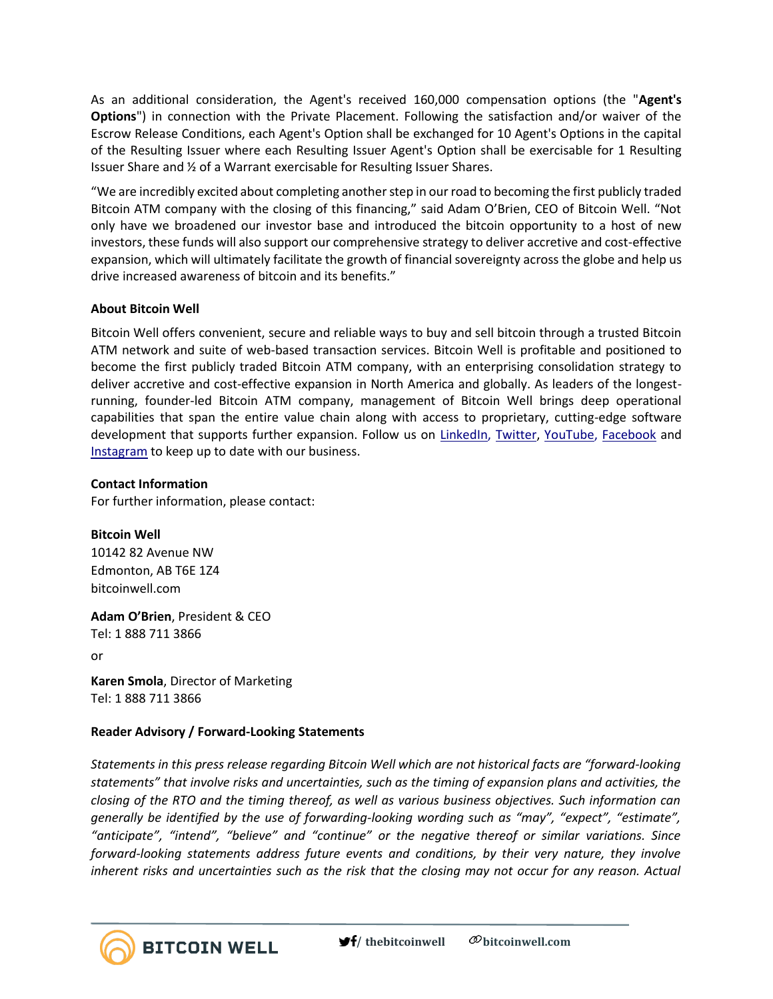As an additional consideration, the Agent's received 160,000 compensation options (the "**Agent's Options**") in connection with the Private Placement. Following the satisfaction and/or waiver of the Escrow Release Conditions, each Agent's Option shall be exchanged for 10 Agent's Options in the capital of the Resulting Issuer where each Resulting Issuer Agent's Option shall be exercisable for 1 Resulting Issuer Share and ½ of a Warrant exercisable for Resulting Issuer Shares.

"We are incredibly excited about completing another step in our road to becoming the first publicly traded Bitcoin ATM company with the closing of this financing," said Adam O'Brien, CEO of Bitcoin Well. "Not only have we broadened our investor base and introduced the bitcoin opportunity to a host of new investors, these funds will also support our comprehensive strategy to deliver accretive and cost-effective expansion, which will ultimately facilitate the growth of financial sovereignty across the globe and help us drive increased awareness of bitcoin and its benefits."

## **About Bitcoin Well**

Bitcoin Well offers convenient, secure and reliable ways to buy and sell bitcoin through a trusted Bitcoin ATM network and suite of web-based transaction services. Bitcoin Well is profitable and positioned to become the first publicly traded Bitcoin ATM company, with an enterprising consolidation strategy to deliver accretive and cost-effective expansion in North America and globally. As leaders of the longestrunning, founder-led Bitcoin ATM company, management of Bitcoin Well brings deep operational capabilities that span the entire value chain along with access to proprietary, cutting-edge software development that supports further expansion. Follow us on [LinkedIn,](https://www.linkedin.com/company/bitcoinwell/) [Twitter,](https://twitter.com/TheBitcoinWell) [YouTube,](https://www.youtube.com/channel/UCeHRFsSr3KEGD5kECjlvC4g) [Facebook](https://www.facebook.com/thebitcoinwell) and [Instagram](https://www.instagram.com/thebitcoinwell/) to keep up to date with our business.

### **Contact Information**

For further information, please contact:

### **Bitcoin Well**

10142 82 Avenue NW Edmonton, AB T6E 1Z4 bitcoinwell.com

**Adam O'Brien**, President & CEO Tel: 1 888 711 3866 or

**Karen Smola**, Director of Marketing Tel: 1 888 711 3866

### **Reader Advisory / Forward-Looking Statements**

*Statements in this press release regarding Bitcoin Well which are not historical facts are "forward-looking statements" that involve risks and uncertainties, such as the timing of expansion plans and activities, the closing of the RTO and the timing thereof, as well as various business objectives. Such information can generally be identified by the use of forwarding-looking wording such as "may", "expect", "estimate", "anticipate", "intend", "believe" and "continue" or the negative thereof or similar variations. Since forward-looking statements address future events and conditions, by their very nature, they involve inherent risks and uncertainties such as the risk that the closing may not occur for any reason. Actual*